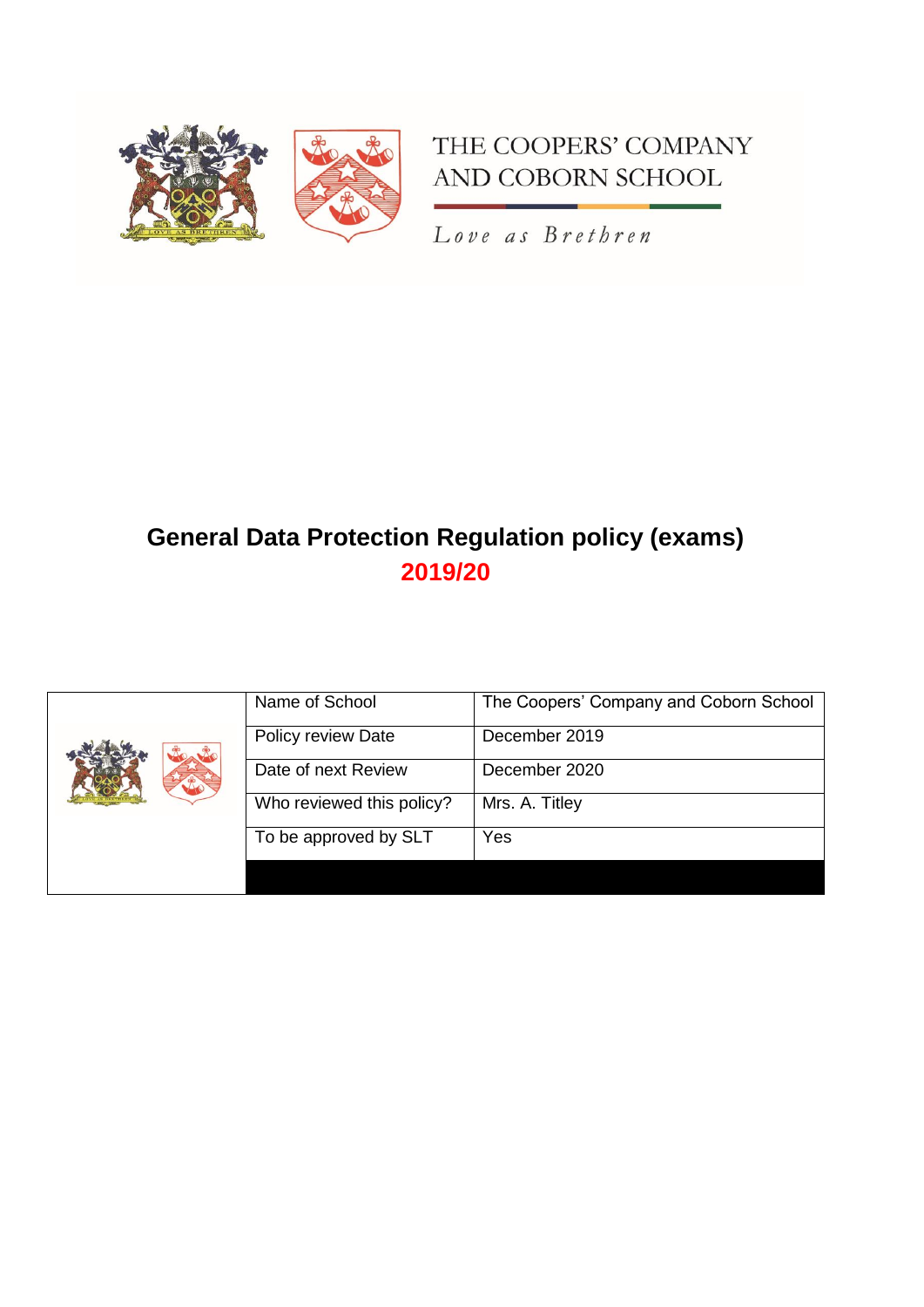

# THE COOPERS' COMPANY AND COBORN SCHOOL

Love as Brethren

# **General Data Protection Regulation policy (exams) 2019/20**

|  | Name of School            | The Coopers' Company and Coborn School |
|--|---------------------------|----------------------------------------|
|  | Policy review Date        | December 2019                          |
|  | Date of next Review       | December 2020                          |
|  | Who reviewed this policy? | Mrs. A. Titley                         |
|  | To be approved by SLT     | Yes                                    |
|  |                           |                                        |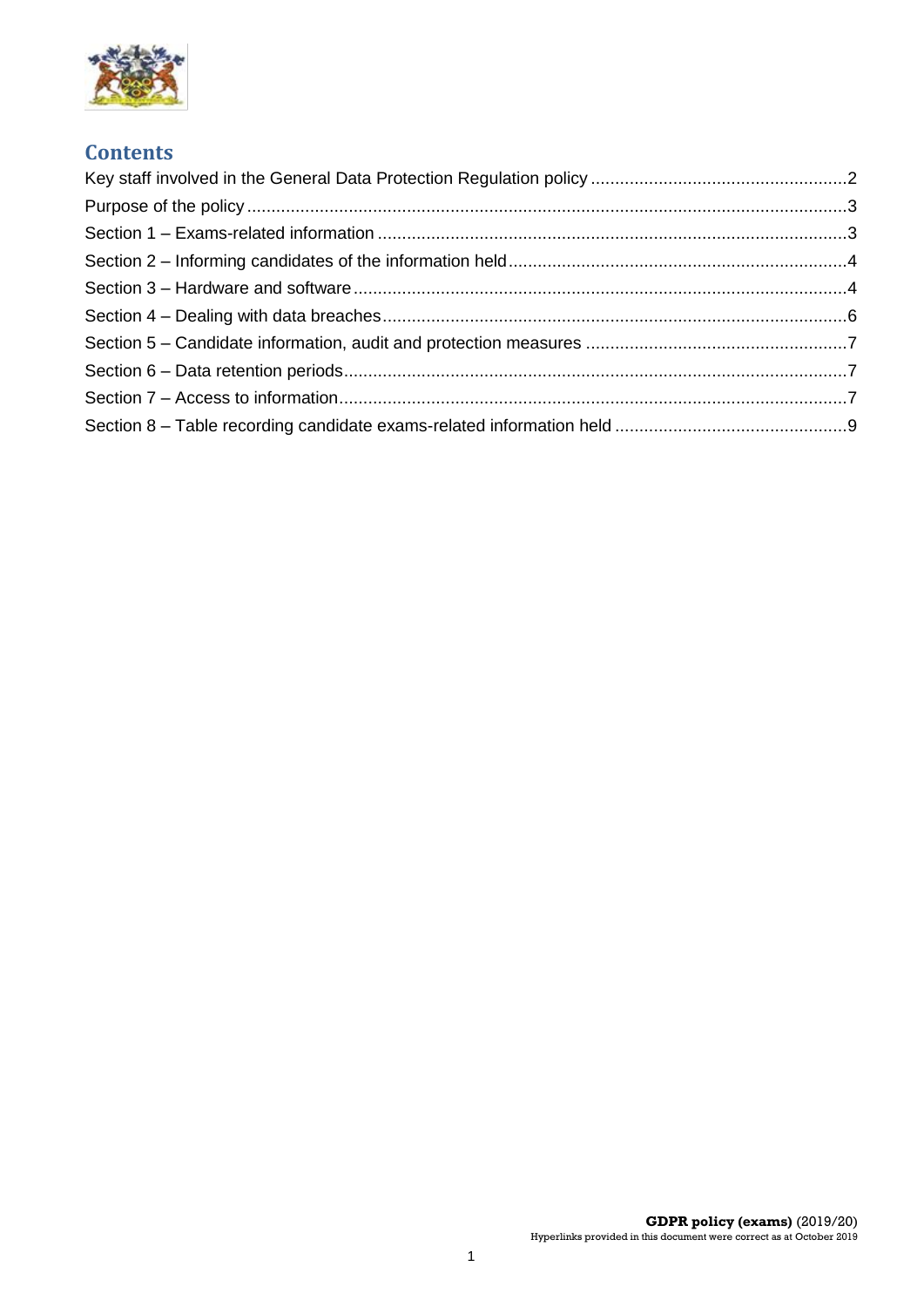

## **Contents**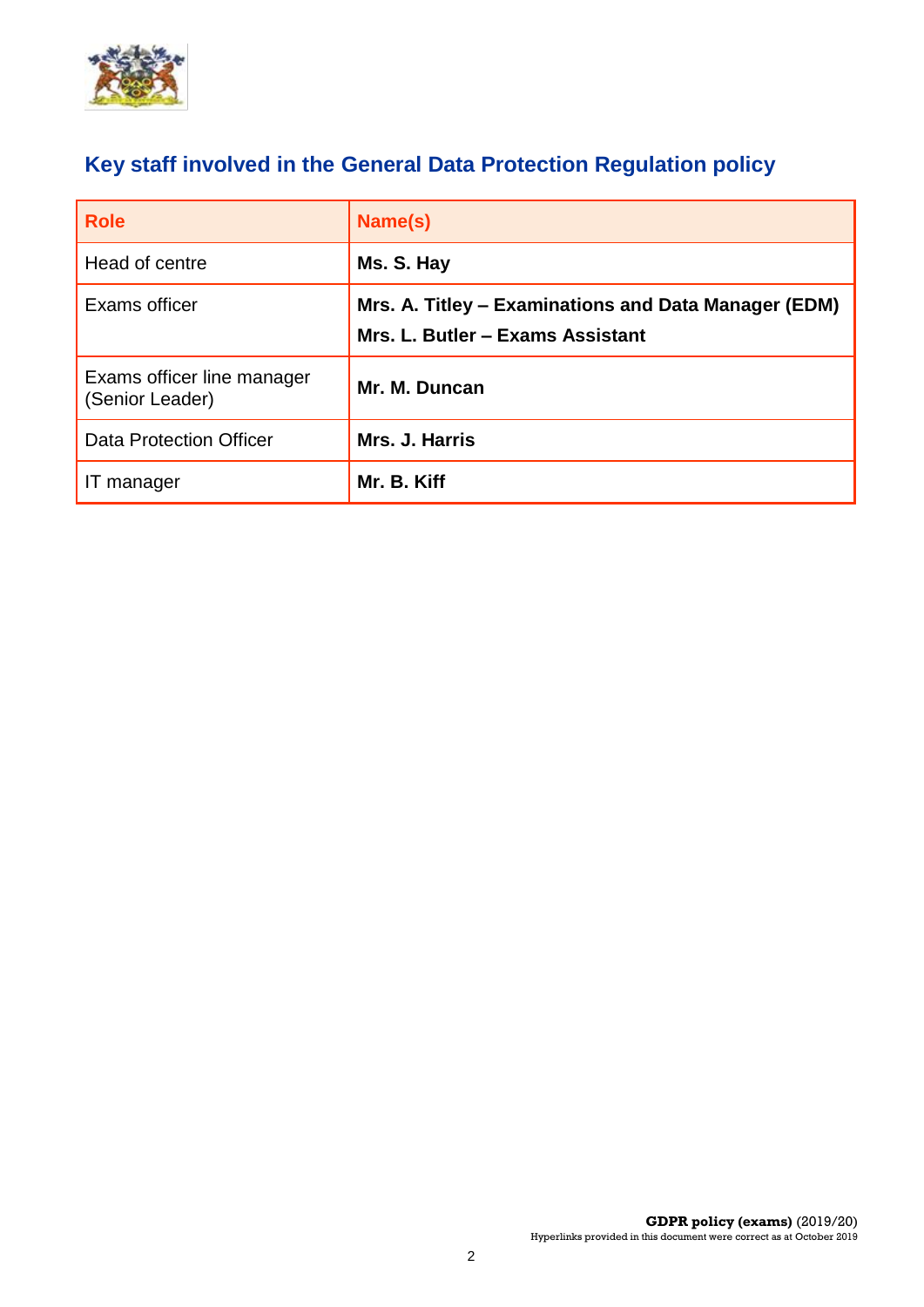

# <span id="page-2-0"></span>**Key staff involved in the General Data Protection Regulation policy**

| <b>Role</b>                                   | Name(s)                                                                                  |
|-----------------------------------------------|------------------------------------------------------------------------------------------|
| Head of centre                                | Ms. S. Hay                                                                               |
| Exams officer                                 | Mrs. A. Titley – Examinations and Data Manager (EDM)<br>Mrs. L. Butler - Exams Assistant |
| Exams officer line manager<br>(Senior Leader) | Mr. M. Duncan                                                                            |
| <b>Data Protection Officer</b>                | Mrs. J. Harris                                                                           |
| IT manager                                    | Mr. B. Kiff                                                                              |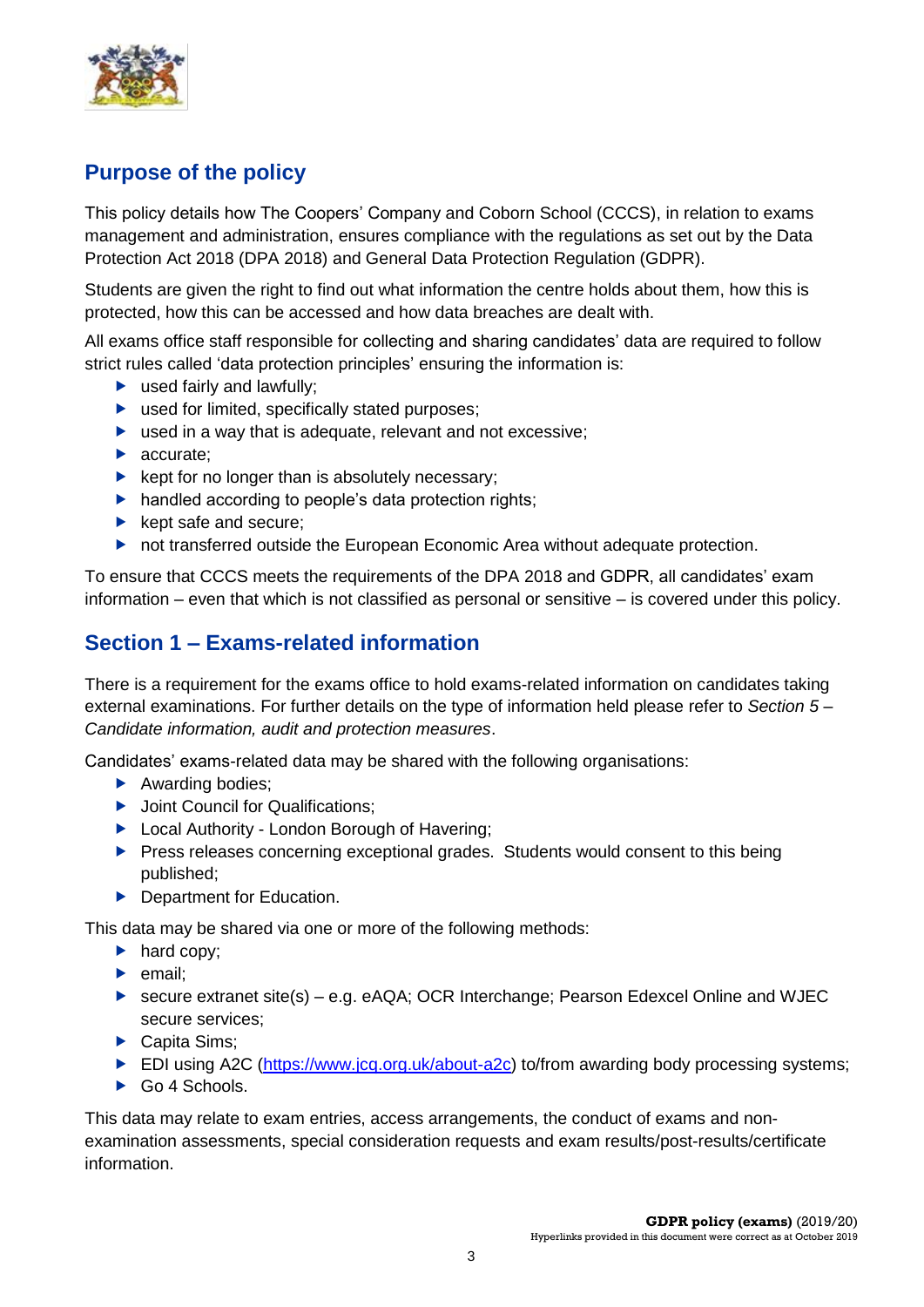

## <span id="page-3-0"></span>**Purpose of the policy**

This policy details how The Coopers' Company and Coborn School (CCCS), in relation to exams management and administration, ensures compliance with the regulations as set out by the Data Protection Act 2018 (DPA 2018) and General Data Protection Regulation (GDPR).

Students are given the right to find out what information the centre holds about them, how this is protected, how this can be accessed and how data breaches are dealt with.

All exams office staff responsible for collecting and sharing candidates' data are required to follow strict rules called 'data protection principles' ensuring the information is:

- $\blacktriangleright$  used fairly and lawfully:
- ▶ used for limited, specifically stated purposes;
- ▶ used in a way that is adequate, relevant and not excessive;
- accurate;
- $\blacktriangleright$  kept for no longer than is absolutely necessary;
- $\blacktriangleright$  handled according to people's data protection rights;
- $\blacktriangleright$  kept safe and secure:
- ▶ not transferred outside the European Economic Area without adequate protection.

To ensure that CCCS meets the requirements of the DPA 2018 and GDPR, all candidates' exam information – even that which is not classified as personal or sensitive – is covered under this policy.

### <span id="page-3-1"></span>**Section 1 – Exams-related information**

There is a requirement for the exams office to hold exams-related information on candidates taking external examinations. For further details on the type of information held please refer to *Section 5 – Candidate information, audit and protection measures*.

Candidates' exams-related data may be shared with the following organisations:

- Awarding bodies:
- ▶ Joint Council for Qualifications:
- ▶ Local Authority London Borough of Havering:
- **Press releases concerning exceptional grades. Students would consent to this being** published;
- **Department for Education.**

This data may be shared via one or more of the following methods:

- $\blacktriangleright$  hard copy:
- $\blacktriangleright$  email;
- ► secure extranet site(s) e.g. eAQA; OCR Interchange: Pearson Edexcel Online and WJEC secure services;
- ▶ Capita Sims;
- ► EDI using A2C (https://www.jcg.org.uk/about-a2c) to/from awarding body processing systems;
- Go 4 Schools.

This data may relate to exam entries, access arrangements, the conduct of exams and nonexamination assessments, special consideration requests and exam results/post-results/certificate information.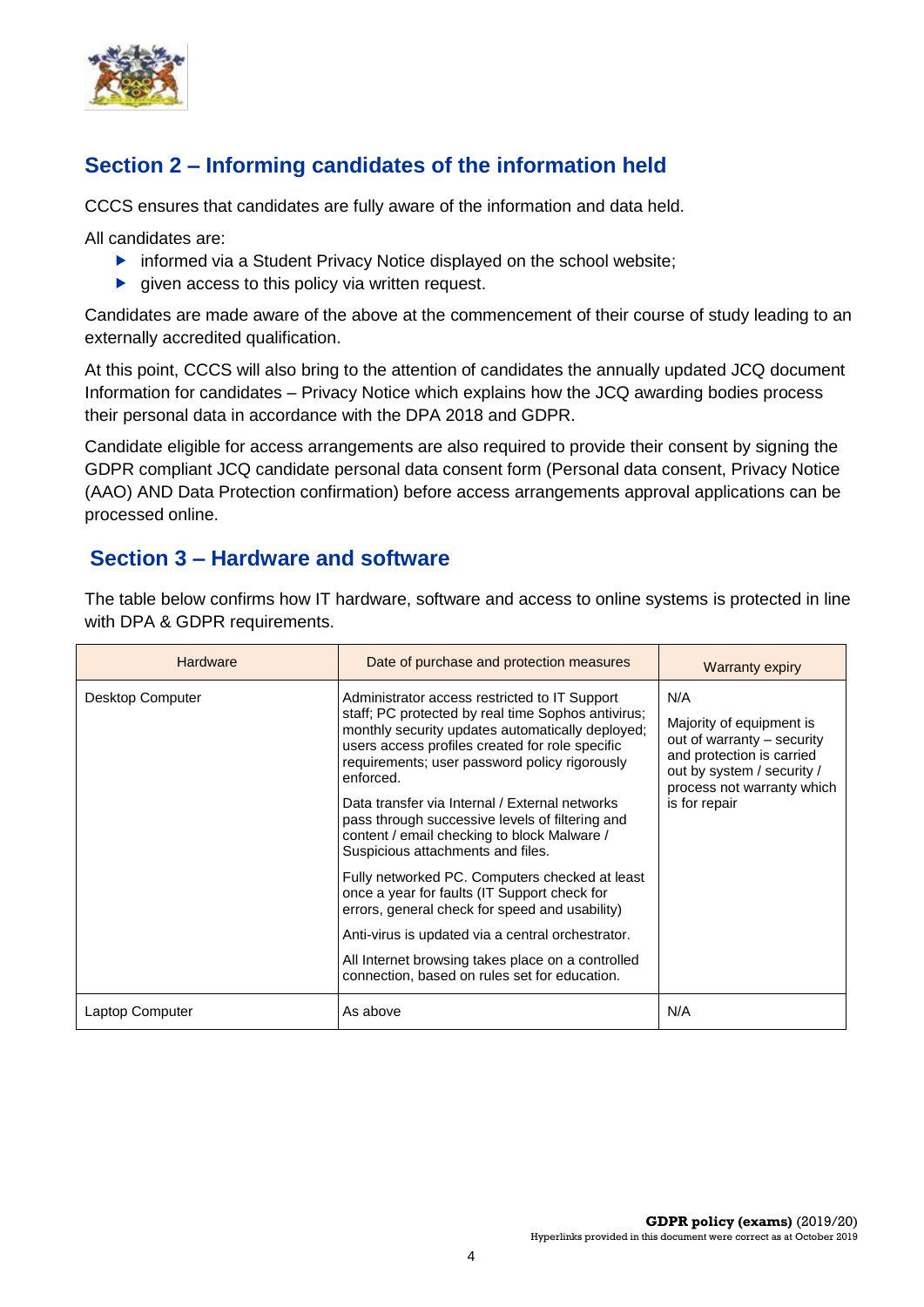

# <span id="page-4-0"></span>**Section 2 – Informing candidates of the information held**

CCCS ensures that candidates are fully aware of the information and data held.

All candidates are:

- $\triangleright$  informed via a Student Privacy Notice displayed on the school website;
- $\blacktriangleright$  given access to this policy via written request.

Candidates are made aware of the above at the commencement of their course of study leading to an externally accredited qualification.

At this point, CCCS will also bring to the attention of candidates the annually updated JCQ document Information for candidates – Privacy Notice which explains how the JCQ awarding bodies process their personal data in accordance with the DPA 2018 and GDPR.

Candidate eligible for access arrangements are also required to provide their consent by signing the GDPR compliant JCQ candidate personal data consent form (Personal data consent, Privacy Notice (AAO) AND Data Protection confirmation) before access arrangements approval applications can be processed online.

### <span id="page-4-1"></span>**Section 3 – Hardware and software**

| <b>Hardware</b>                                                                                                                                                                                       | Date of purchase and protection measures                                                                                                                                                                                                                                                                                                                                                                                                                          | <b>Warranty expiry</b>                                                                                                                                                  |  |
|-------------------------------------------------------------------------------------------------------------------------------------------------------------------------------------------------------|-------------------------------------------------------------------------------------------------------------------------------------------------------------------------------------------------------------------------------------------------------------------------------------------------------------------------------------------------------------------------------------------------------------------------------------------------------------------|-------------------------------------------------------------------------------------------------------------------------------------------------------------------------|--|
| Desktop Computer                                                                                                                                                                                      | Administrator access restricted to IT Support<br>staff; PC protected by real time Sophos antivirus;<br>monthly security updates automatically deployed;<br>users access profiles created for role specific<br>requirements; user password policy rigorously<br>enforced.<br>Data transfer via Internal / External networks<br>pass through successive levels of filtering and<br>content / email checking to block Malware /<br>Suspicious attachments and files. | N/A<br>Majority of equipment is<br>out of warranty - security<br>and protection is carried<br>out by system / security /<br>process not warranty which<br>is for repair |  |
| Fully networked PC. Computers checked at least<br>once a year for faults (IT Support check for<br>errors, general check for speed and usability)<br>Anti-virus is updated via a central orchestrator. |                                                                                                                                                                                                                                                                                                                                                                                                                                                                   |                                                                                                                                                                         |  |
|                                                                                                                                                                                                       |                                                                                                                                                                                                                                                                                                                                                                                                                                                                   |                                                                                                                                                                         |  |
|                                                                                                                                                                                                       | All Internet browsing takes place on a controlled<br>connection, based on rules set for education.                                                                                                                                                                                                                                                                                                                                                                |                                                                                                                                                                         |  |
| Laptop Computer                                                                                                                                                                                       | As above                                                                                                                                                                                                                                                                                                                                                                                                                                                          | N/A                                                                                                                                                                     |  |

The table below confirms how IT hardware, software and access to online systems is protected in line with DPA & GDPR requirements.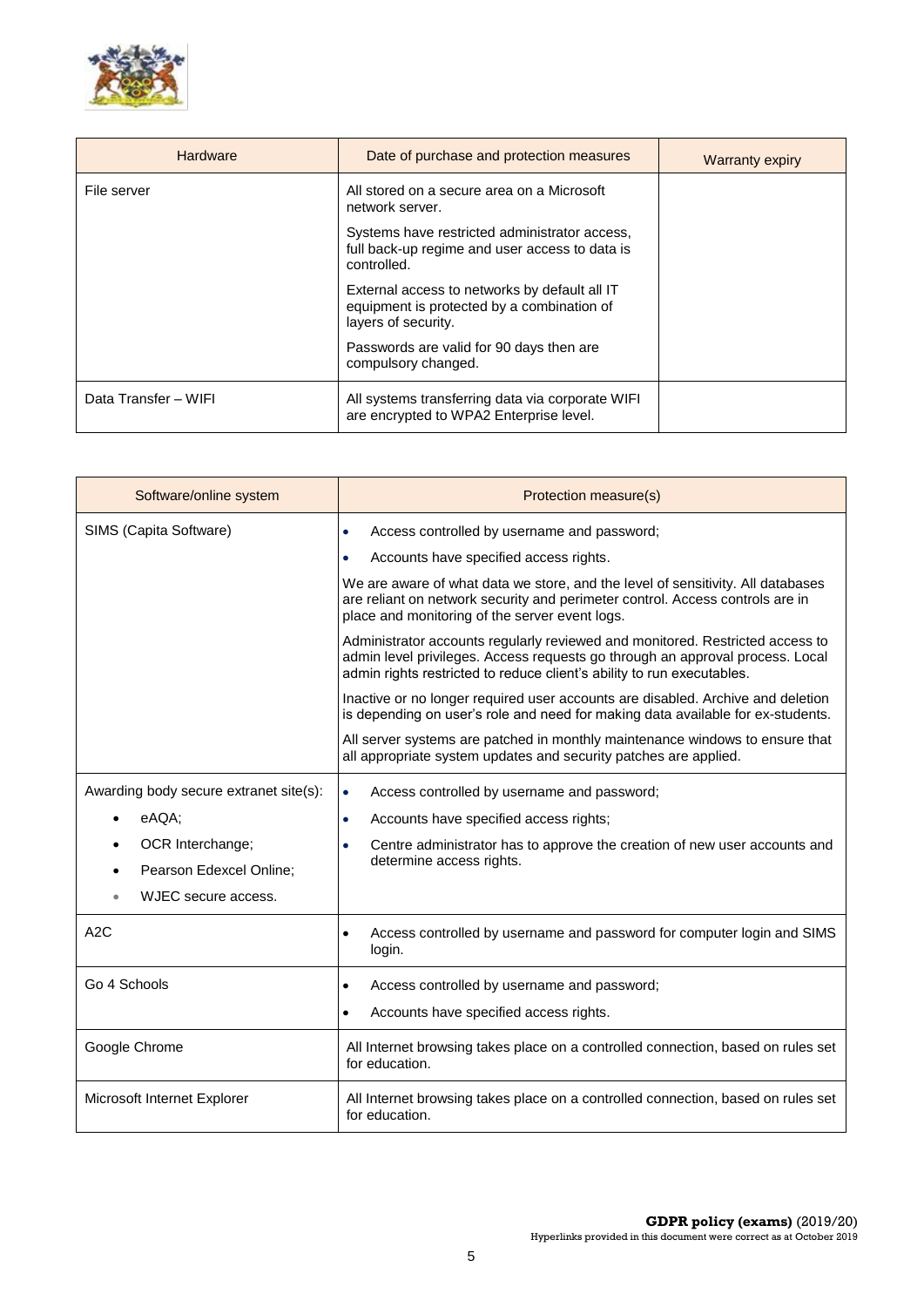

| <b>Hardware</b>      | Date of purchase and protection measures                                                                           | <b>Warranty expiry</b> |
|----------------------|--------------------------------------------------------------------------------------------------------------------|------------------------|
| File server          | All stored on a secure area on a Microsoft<br>network server.                                                      |                        |
|                      | Systems have restricted administrator access,<br>full back-up regime and user access to data is<br>controlled.     |                        |
|                      | External access to networks by default all IT<br>equipment is protected by a combination of<br>layers of security. |                        |
|                      | Passwords are valid for 90 days then are<br>compulsory changed.                                                    |                        |
| Data Transfer - WIFI | All systems transferring data via corporate WIFI<br>are encrypted to WPA2 Enterprise level.                        |                        |

| Software/online system                      | Protection measure(s)                                                                                                                                                                                                                    |
|---------------------------------------------|------------------------------------------------------------------------------------------------------------------------------------------------------------------------------------------------------------------------------------------|
| SIMS (Capita Software)                      | Access controlled by username and password;<br>$\bullet$                                                                                                                                                                                 |
|                                             | Accounts have specified access rights.<br>$\bullet$                                                                                                                                                                                      |
|                                             | We are aware of what data we store, and the level of sensitivity. All databases<br>are reliant on network security and perimeter control. Access controls are in<br>place and monitoring of the server event logs.                       |
|                                             | Administrator accounts regularly reviewed and monitored. Restricted access to<br>admin level privileges. Access requests go through an approval process. Local<br>admin rights restricted to reduce client's ability to run executables. |
|                                             | Inactive or no longer required user accounts are disabled. Archive and deletion<br>is depending on user's role and need for making data available for ex-students.                                                                       |
|                                             | All server systems are patched in monthly maintenance windows to ensure that<br>all appropriate system updates and security patches are applied.                                                                                         |
| Awarding body secure extranet site(s):      | Access controlled by username and password;<br>$\bullet$                                                                                                                                                                                 |
| eAQA:                                       | Accounts have specified access rights;<br>$\bullet$                                                                                                                                                                                      |
| OCR Interchange;<br>Pearson Edexcel Online; | Centre administrator has to approve the creation of new user accounts and<br>$\bullet$<br>determine access rights.                                                                                                                       |
| WJEC secure access.                         |                                                                                                                                                                                                                                          |
| A2C                                         | Access controlled by username and password for computer login and SIMS<br>$\bullet$<br>login.                                                                                                                                            |
| Go 4 Schools                                | Access controlled by username and password;<br>$\bullet$                                                                                                                                                                                 |
|                                             | Accounts have specified access rights.<br>$\bullet$                                                                                                                                                                                      |
| Google Chrome                               | All Internet browsing takes place on a controlled connection, based on rules set<br>for education.                                                                                                                                       |
| Microsoft Internet Explorer                 | All Internet browsing takes place on a controlled connection, based on rules set<br>for education.                                                                                                                                       |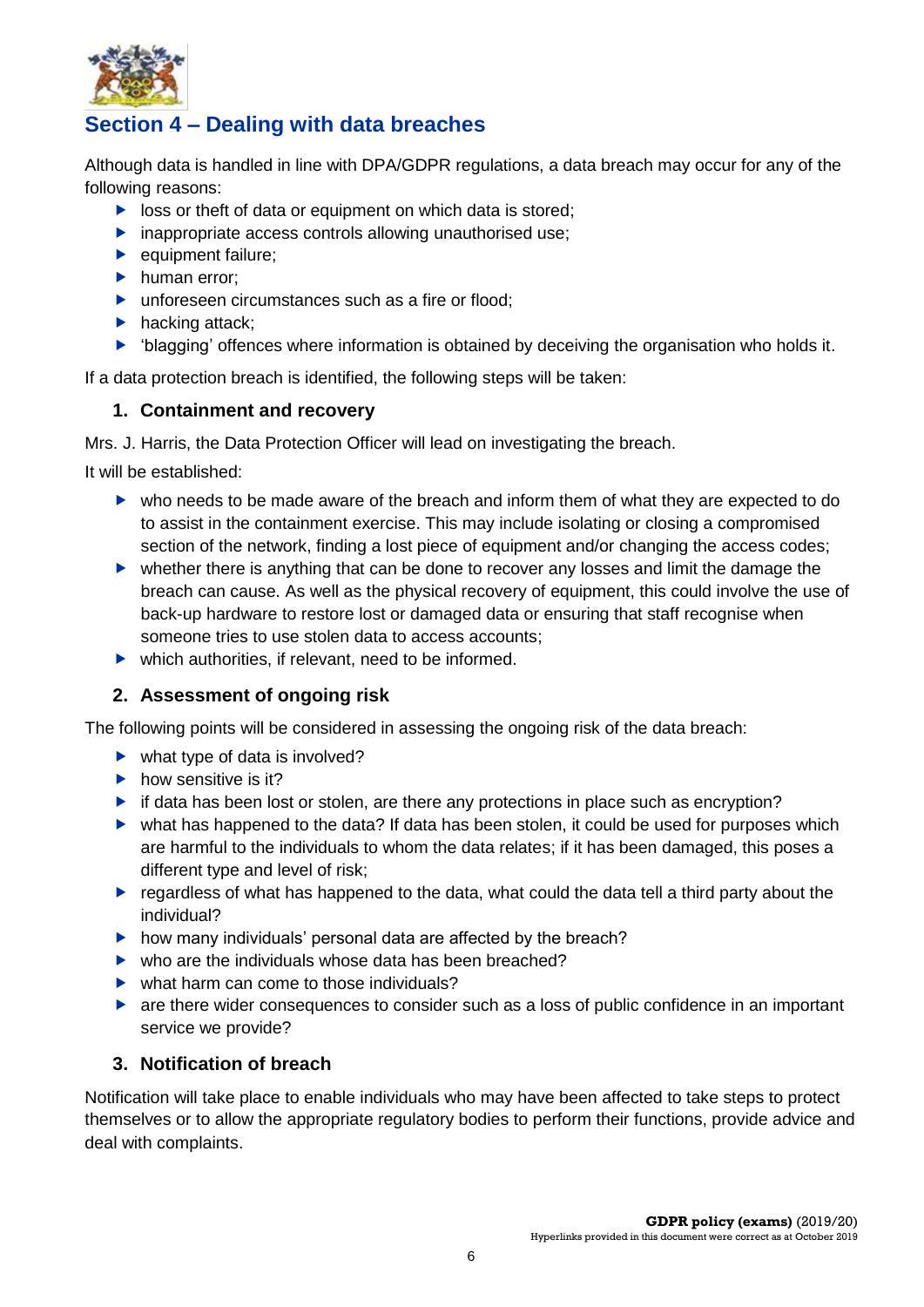

## <span id="page-6-0"></span>**Section 4 – Dealing with data breaches**

Although data is handled in line with DPA/GDPR regulations, a data breach may occur for any of the following reasons:

- $\triangleright$  loss or theft of data or equipment on which data is stored;
- $\blacktriangleright$  inappropriate access controls allowing unauthorised use;
- equipment failure;
- $\blacktriangleright$  human error;
- ▶ unforeseen circumstances such as a fire or flood:
- $\blacktriangleright$  hacking attack;
- 'blagging' offences where information is obtained by deceiving the organisation who holds it.

If a data protection breach is identified, the following steps will be taken:

#### **1. Containment and recovery**

Mrs. J. Harris, the Data Protection Officer will lead on investigating the breach.

It will be established:

- who needs to be made aware of the breach and inform them of what they are expected to do to assist in the containment exercise. This may include isolating or closing a compromised section of the network, finding a lost piece of equipment and/or changing the access codes;
- whether there is anything that can be done to recover any losses and limit the damage the breach can cause. As well as the physical recovery of equipment, this could involve the use of back-up hardware to restore lost or damaged data or ensuring that staff recognise when someone tries to use stolen data to access accounts;
- $\blacktriangleright$  which authorities, if relevant, need to be informed.

#### **2. Assessment of ongoing risk**

The following points will be considered in assessing the ongoing risk of the data breach:

- $\blacktriangleright$  what type of data is involved?
- $\blacktriangleright$  how sensitive is it?
- $\blacktriangleright$  if data has been lost or stolen, are there any protections in place such as encryption?
- what has happened to the data? If data has been stolen, it could be used for purposes which are harmful to the individuals to whom the data relates; if it has been damaged, this poses a different type and level of risk;
- regardless of what has happened to the data, what could the data tell a third party about the individual?
- $\blacktriangleright$  how many individuals' personal data are affected by the breach?
- $\blacktriangleright$  who are the individuals whose data has been breached?
- $\blacktriangleright$  what harm can come to those individuals?
- **Example 1** are there wider consequences to consider such as a loss of public confidence in an important service we provide?

#### **3. Notification of breach**

Notification will take place to enable individuals who may have been affected to take steps to protect themselves or to allow the appropriate regulatory bodies to perform their functions, provide advice and deal with complaints.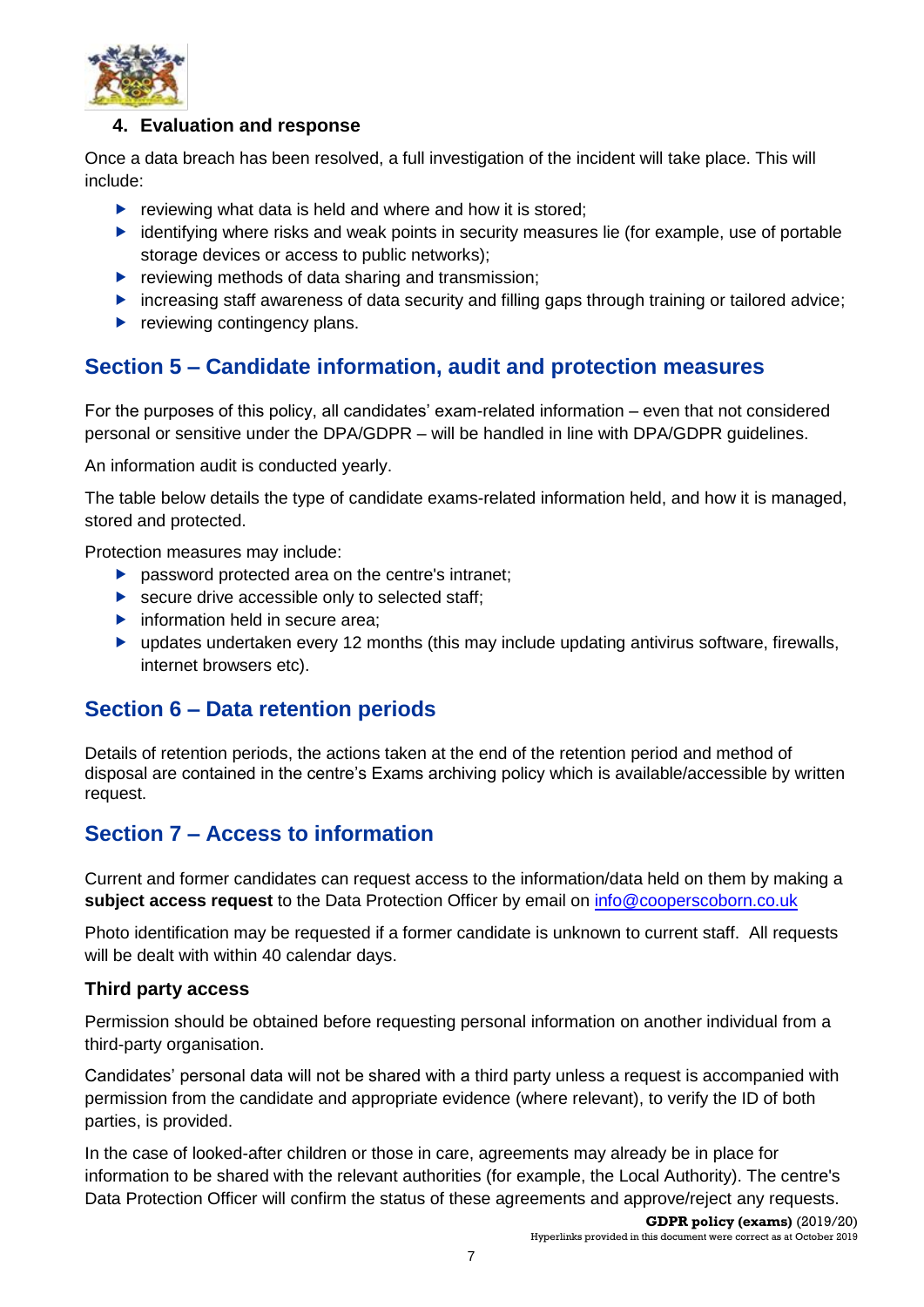

#### **4. Evaluation and response**

Once a data breach has been resolved, a full investigation of the incident will take place. This will include:

- $\triangleright$  reviewing what data is held and where and how it is stored:
- $\blacktriangleright$  identifying where risks and weak points in security measures lie (for example, use of portable storage devices or access to public networks);
- $\blacktriangleright$  reviewing methods of data sharing and transmission;
- increasing staff awareness of data security and filling gaps through training or tailored advice;
- $\blacktriangleright$  reviewing contingency plans.

### <span id="page-7-0"></span>**Section 5 – Candidate information, audit and protection measures**

For the purposes of this policy, all candidates' exam-related information – even that not considered personal or sensitive under the DPA/GDPR – will be handled in line with DPA/GDPR guidelines.

An information audit is conducted yearly.

The table below details the type of candidate exams-related information held, and how it is managed, stored and protected.

Protection measures may include:

- **P** password protected area on the centre's intranet;
- ▶ secure drive accessible only to selected staff;
- $\blacktriangleright$  information held in secure area;
- updates undertaken every 12 months (this may include updating antivirus software, firewalls, internet browsers etc).

### <span id="page-7-1"></span>**Section 6 – Data retention periods**

Details of retention periods, the actions taken at the end of the retention period and method of disposal are contained in the centre's Exams archiving policy which is available/accessible by written request.

### <span id="page-7-2"></span>**Section 7 – Access to information**

Current and former candidates can request access to the information/data held on them by making a **subject access request** to the Data Protection Officer by email on [info@cooperscoborn.co.uk](mailto:info@cooperscoborn.co.uk)

Photo identification may be requested if a former candidate is unknown to current staff. All requests will be dealt with within 40 calendar days.

#### **Third party access**

Permission should be obtained before requesting personal information on another individual from a third-party organisation.

Candidates' personal data will not be shared with a third party unless a request is accompanied with permission from the candidate and appropriate evidence (where relevant), to verify the ID of both parties, is provided.

In the case of looked-after children or those in care, agreements may already be in place for information to be shared with the relevant authorities (for example, the Local Authority). The centre's Data Protection Officer will confirm the status of these agreements and approve/reject any requests.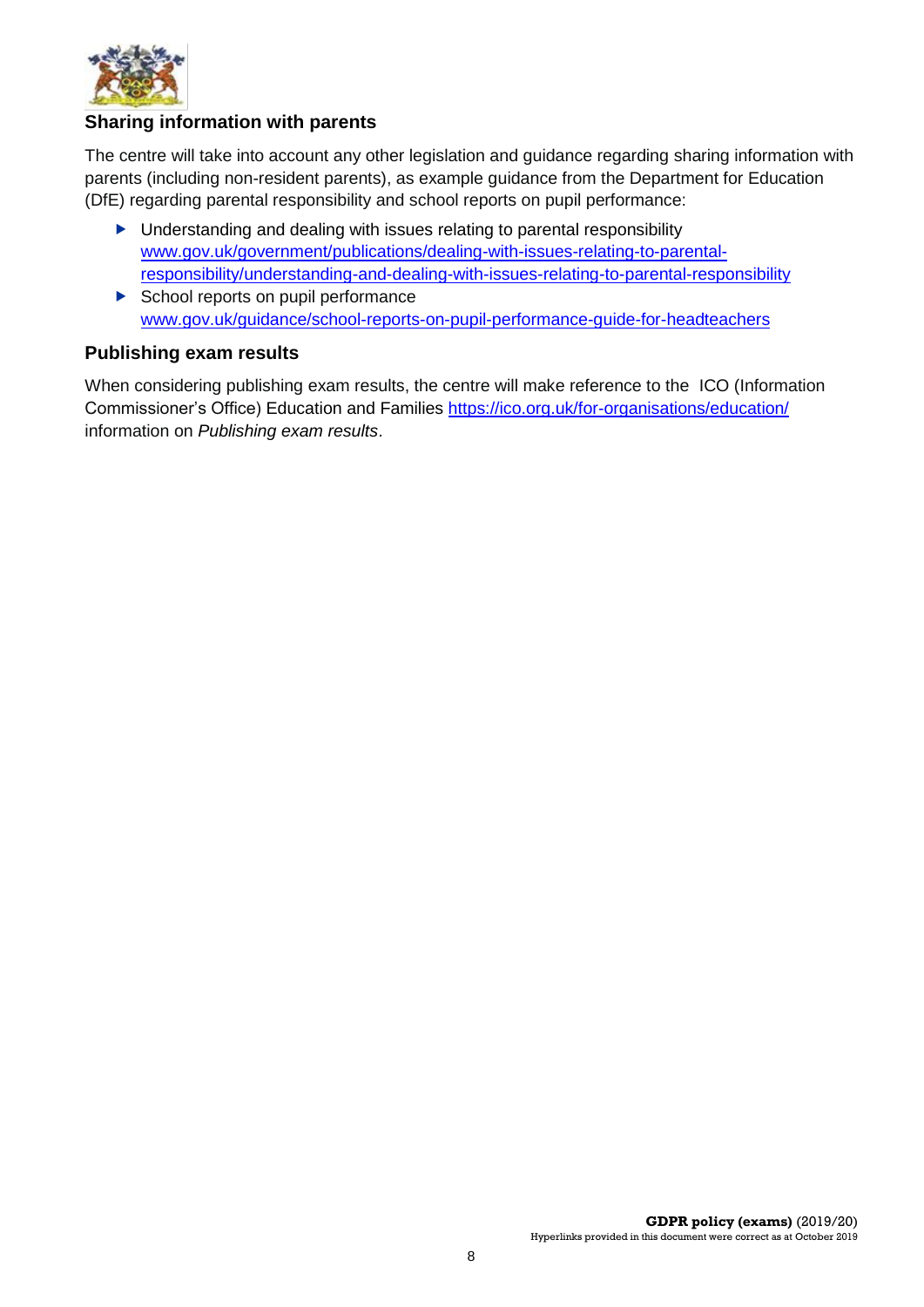

#### **Sharing information with parents**

The centre will take into account any other legislation and guidance regarding sharing information with parents (including non-resident parents), as example guidance from the Department for Education (DfE) regarding parental responsibility and school reports on pupil performance:

- ▶ Understanding and dealing with issues relating to parental responsibility [www.gov.uk/government/publications/dealing-with-issues-relating-to-parental](https://www.gov.uk/government/publications/dealing-with-issues-relating-to-parental-responsibility/understanding-and-dealing-with-issues-relating-to-parental-responsibility)[responsibility/understanding-and-dealing-with-issues-relating-to-parental-responsibility](https://www.gov.uk/government/publications/dealing-with-issues-relating-to-parental-responsibility/understanding-and-dealing-with-issues-relating-to-parental-responsibility)  $\triangleright$  School reports on pupil performance
- [www.gov.uk/guidance/school-reports-on-pupil-performance-guide-for-headteachers](http://www.gov.uk/guidance/school-reports-on-pupil-performance-guide-for-headteachers)

#### **Publishing exam results**

When considering publishing exam results, the centre will make reference to the ICO (Information Commissioner's Office) Education and Families <https://ico.org.uk/for-organisations/education/> information on *Publishing exam results*.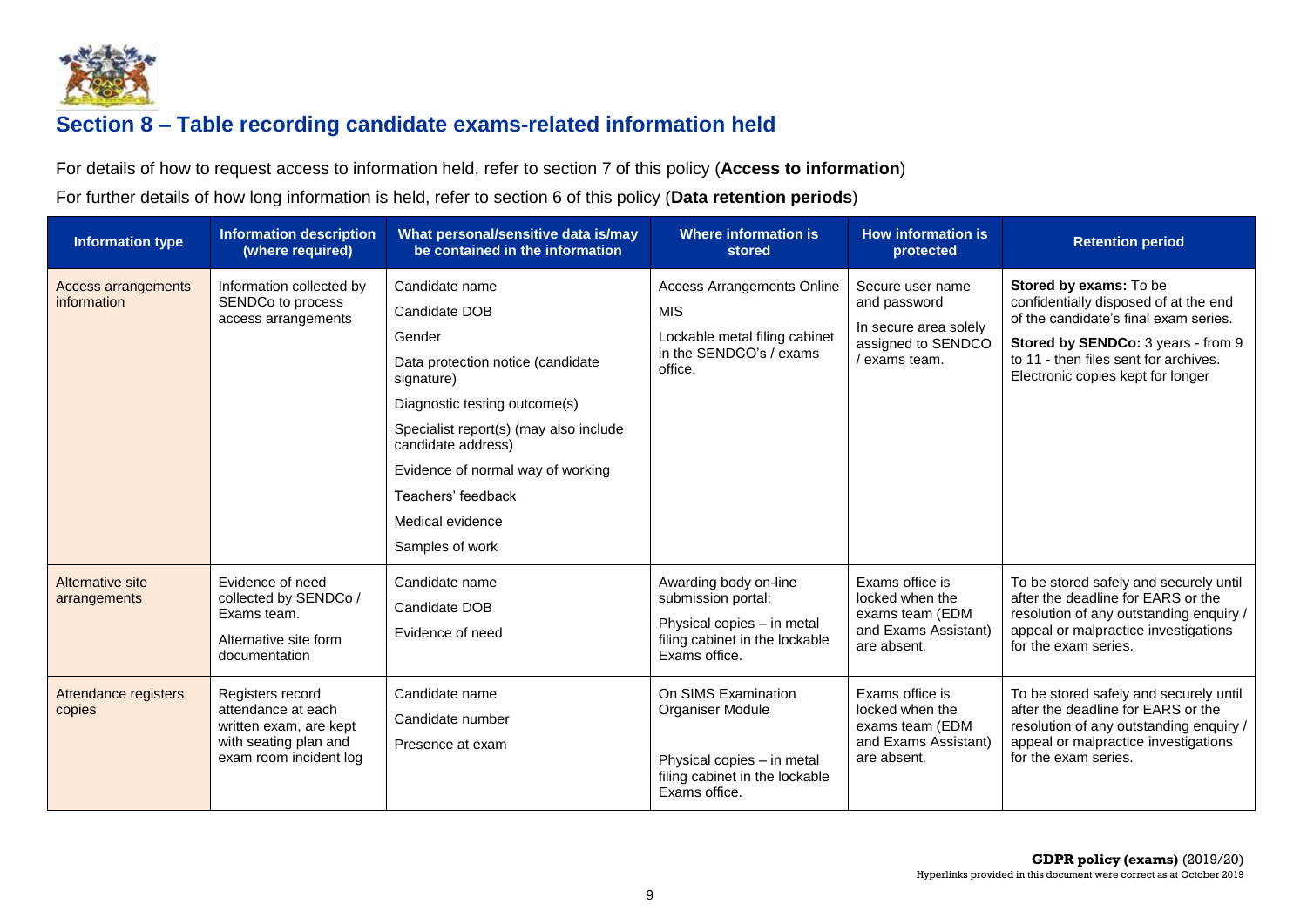

# **Section 8 – Table recording candidate exams-related information held**

For details of how to request access to information held, refer to section 7 of this policy (**Access to information**)

For further details of how long information is held, refer to section 6 of this policy (**Data retention periods**)

<span id="page-9-0"></span>

| <b>Information type</b>                   | <b>Information description</b><br>(where required)                                                                  | What personal/sensitive data is/may<br>be contained in the information                                                                                                                                                                                                                          | <b>Where information is</b><br>stored                                                                                        | <b>How information is</b><br>protected                                                         | <b>Retention period</b>                                                                                                                                                                                                      |
|-------------------------------------------|---------------------------------------------------------------------------------------------------------------------|-------------------------------------------------------------------------------------------------------------------------------------------------------------------------------------------------------------------------------------------------------------------------------------------------|------------------------------------------------------------------------------------------------------------------------------|------------------------------------------------------------------------------------------------|------------------------------------------------------------------------------------------------------------------------------------------------------------------------------------------------------------------------------|
| <b>Access arrangements</b><br>information | Information collected by<br>SENDCo to process<br>access arrangements                                                | Candidate name<br>Candidate DOB<br>Gender<br>Data protection notice (candidate<br>signature)<br>Diagnostic testing outcome(s)<br>Specialist report(s) (may also include<br>candidate address)<br>Evidence of normal way of working<br>Teachers' feedback<br>Medical evidence<br>Samples of work | <b>Access Arrangements Online</b><br><b>MIS</b><br>Lockable metal filing cabinet<br>in the SENDCO's / exams<br>office.       | Secure user name<br>and password<br>In secure area solely<br>assigned to SENDCO<br>exams team. | Stored by exams: To be<br>confidentially disposed of at the end<br>of the candidate's final exam series.<br>Stored by SENDCo: 3 years - from 9<br>to 11 - then files sent for archives.<br>Electronic copies kept for longer |
| Alternative site<br>arrangements          | Evidence of need<br>collected by SENDCo /<br>Exams team.<br>Alternative site form<br>documentation                  | Candidate name<br>Candidate DOB<br>Evidence of need                                                                                                                                                                                                                                             | Awarding body on-line<br>submission portal;<br>Physical copies - in metal<br>filing cabinet in the lockable<br>Exams office. | Exams office is<br>locked when the<br>exams team (EDM<br>and Exams Assistant)<br>are absent.   | To be stored safely and securely until<br>after the deadline for EARS or the<br>resolution of any outstanding enquiry /<br>appeal or malpractice investigations<br>for the exam series.                                      |
| Attendance registers<br>copies            | Registers record<br>attendance at each<br>written exam, are kept<br>with seating plan and<br>exam room incident log | Candidate name<br>Candidate number<br>Presence at exam                                                                                                                                                                                                                                          | On SIMS Examination<br>Organiser Module<br>Physical copies - in metal<br>filing cabinet in the lockable<br>Exams office.     | Exams office is<br>locked when the<br>exams team (EDM<br>and Exams Assistant)<br>are absent.   | To be stored safely and securely until<br>after the deadline for EARS or the<br>resolution of any outstanding enquiry /<br>appeal or malpractice investigations<br>for the exam series.                                      |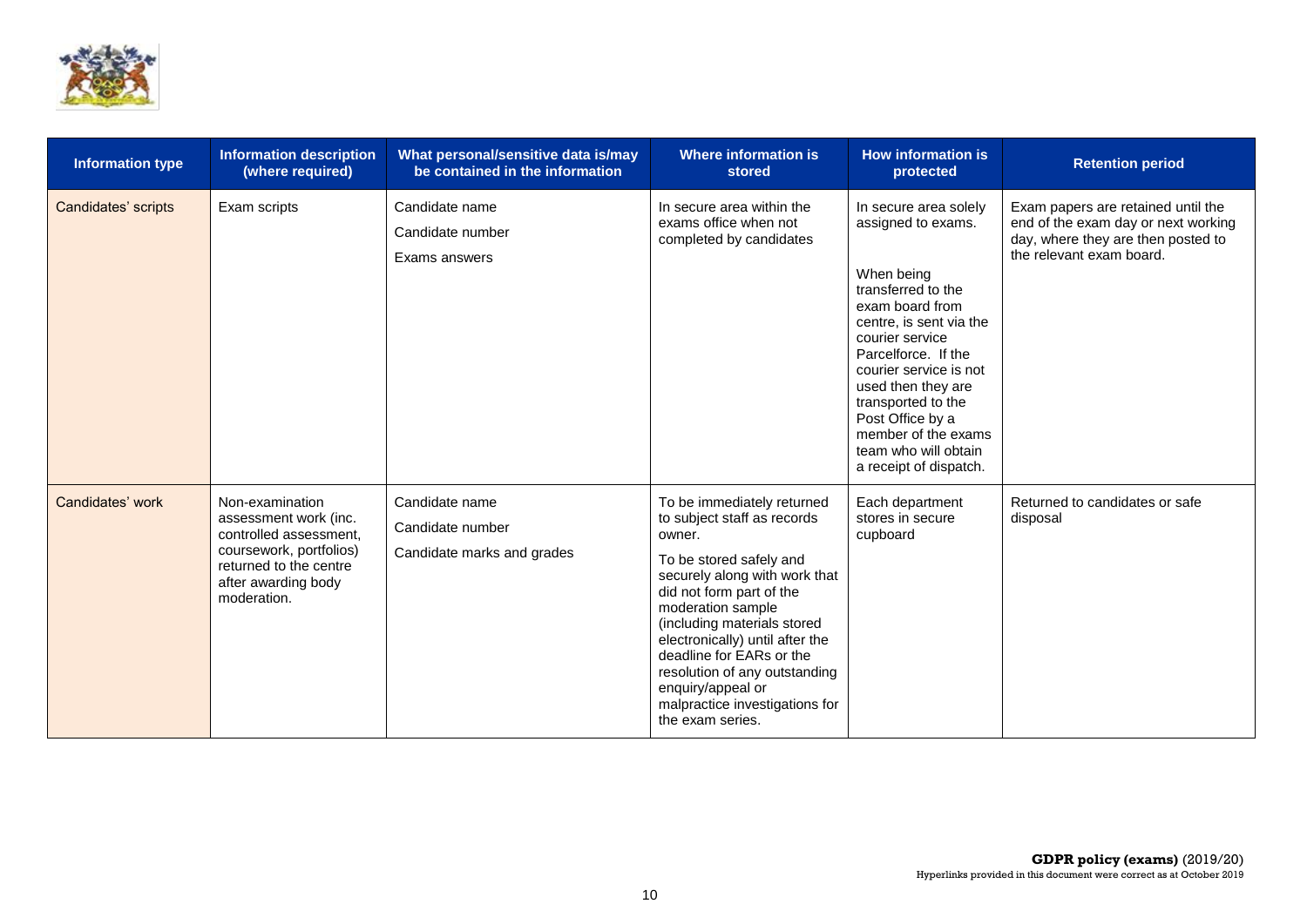

| <b>Information type</b> | <b>Information description</b><br>(where required)                                                                                                            | What personal/sensitive data is/may<br>be contained in the information | <b>Where information is</b><br>stored                                                                                                                                                                                                                                                                                                                                                      | <b>How information is</b><br>protected                                                                                                                                                                                                                                                                                                     | <b>Retention period</b>                                                                                                                     |
|-------------------------|---------------------------------------------------------------------------------------------------------------------------------------------------------------|------------------------------------------------------------------------|--------------------------------------------------------------------------------------------------------------------------------------------------------------------------------------------------------------------------------------------------------------------------------------------------------------------------------------------------------------------------------------------|--------------------------------------------------------------------------------------------------------------------------------------------------------------------------------------------------------------------------------------------------------------------------------------------------------------------------------------------|---------------------------------------------------------------------------------------------------------------------------------------------|
| Candidates' scripts     | Exam scripts                                                                                                                                                  | Candidate name<br>Candidate number<br>Exams answers                    | In secure area within the<br>exams office when not<br>completed by candidates                                                                                                                                                                                                                                                                                                              | In secure area solely<br>assigned to exams.<br>When being<br>transferred to the<br>exam board from<br>centre, is sent via the<br>courier service<br>Parcelforce. If the<br>courier service is not<br>used then they are<br>transported to the<br>Post Office by a<br>member of the exams<br>team who will obtain<br>a receipt of dispatch. | Exam papers are retained until the<br>end of the exam day or next working<br>day, where they are then posted to<br>the relevant exam board. |
| Candidates' work        | Non-examination<br>assessment work (inc.<br>controlled assessment.<br>coursework, portfolios)<br>returned to the centre<br>after awarding body<br>moderation. | Candidate name<br>Candidate number<br>Candidate marks and grades       | To be immediately returned<br>to subject staff as records<br>owner.<br>To be stored safely and<br>securely along with work that<br>did not form part of the<br>moderation sample<br>(including materials stored<br>electronically) until after the<br>deadline for EARs or the<br>resolution of any outstanding<br>enquiry/appeal or<br>malpractice investigations for<br>the exam series. | Each department<br>stores in secure<br>cupboard                                                                                                                                                                                                                                                                                            | Returned to candidates or safe<br>disposal                                                                                                  |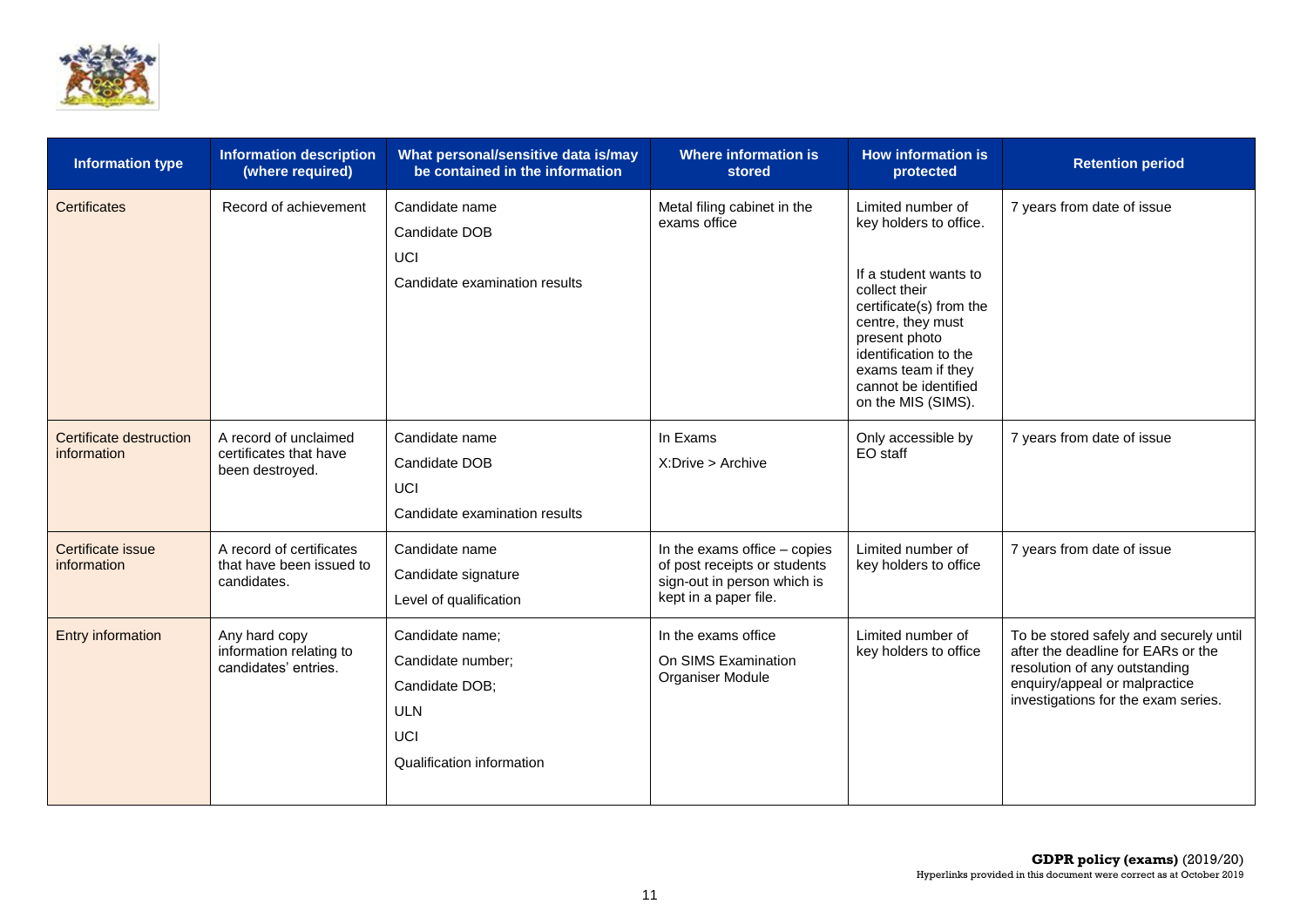

| <b>Information type</b>                | <b>Information description</b><br>(where required)                  | What personal/sensitive data is/may<br>be contained in the information                                          | <b>Where information is</b><br>stored                                                                                  | <b>How information is</b><br>protected                                                                                                                                                                                                              | <b>Retention period</b>                                                                                                                                                               |
|----------------------------------------|---------------------------------------------------------------------|-----------------------------------------------------------------------------------------------------------------|------------------------------------------------------------------------------------------------------------------------|-----------------------------------------------------------------------------------------------------------------------------------------------------------------------------------------------------------------------------------------------------|---------------------------------------------------------------------------------------------------------------------------------------------------------------------------------------|
| <b>Certificates</b>                    | Record of achievement                                               | Candidate name<br>Candidate DOB<br>UCI<br>Candidate examination results                                         | Metal filing cabinet in the<br>exams office                                                                            | Limited number of<br>key holders to office.<br>If a student wants to<br>collect their<br>certificate(s) from the<br>centre, they must<br>present photo<br>identification to the<br>exams team if they<br>cannot be identified<br>on the MIS (SIMS). | 7 years from date of issue                                                                                                                                                            |
| Certificate destruction<br>information | A record of unclaimed<br>certificates that have<br>been destroyed.  | Candidate name<br>Candidate DOB<br>UCI<br>Candidate examination results                                         | In Exams<br>X: Drive > Archive                                                                                         | Only accessible by<br>EO staff                                                                                                                                                                                                                      | 7 years from date of issue                                                                                                                                                            |
| Certificate issue<br>information       | A record of certificates<br>that have been issued to<br>candidates. | Candidate name<br>Candidate signature<br>Level of qualification                                                 | In the exams office $-$ copies<br>of post receipts or students<br>sign-out in person which is<br>kept in a paper file. | Limited number of<br>key holders to office                                                                                                                                                                                                          | 7 years from date of issue                                                                                                                                                            |
| Entry information                      | Any hard copy<br>information relating to<br>candidates' entries.    | Candidate name;<br>Candidate number;<br>Candidate DOB;<br><b>ULN</b><br><b>UCI</b><br>Qualification information | In the exams office<br>On SIMS Examination<br>Organiser Module                                                         | Limited number of<br>key holders to office                                                                                                                                                                                                          | To be stored safely and securely until<br>after the deadline for EARs or the<br>resolution of any outstanding<br>enquiry/appeal or malpractice<br>investigations for the exam series. |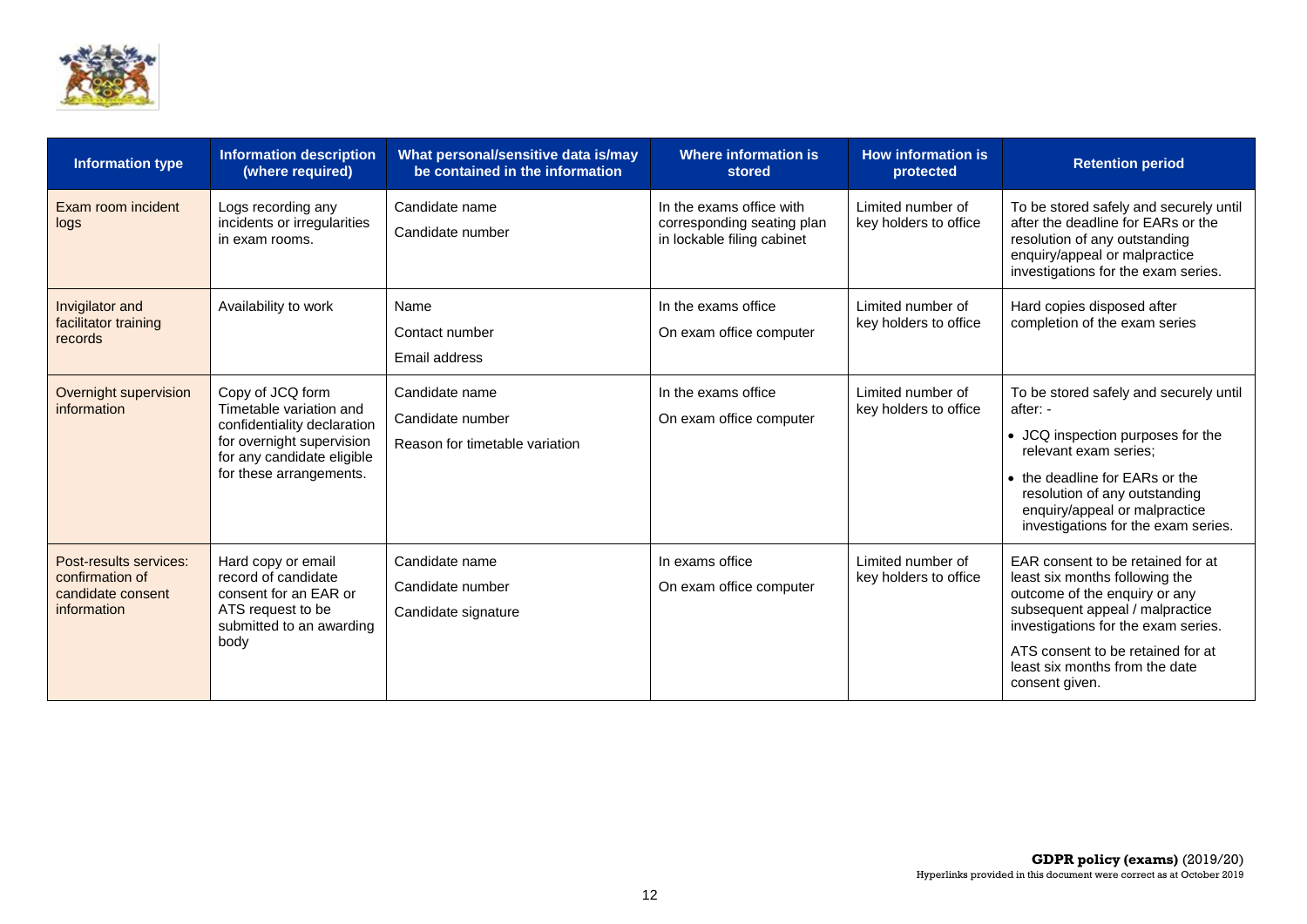

| <b>Information type</b>                                                       | <b>Information description</b><br>(where required)                                                                                                               | What personal/sensitive data is/may<br>be contained in the information | Where information is<br>stored                                                       | <b>How information is</b><br>protected     | <b>Retention period</b>                                                                                                                                                                                                                                                 |
|-------------------------------------------------------------------------------|------------------------------------------------------------------------------------------------------------------------------------------------------------------|------------------------------------------------------------------------|--------------------------------------------------------------------------------------|--------------------------------------------|-------------------------------------------------------------------------------------------------------------------------------------------------------------------------------------------------------------------------------------------------------------------------|
| Exam room incident<br>logs                                                    | Logs recording any<br>incidents or irregularities<br>in exam rooms.                                                                                              | Candidate name<br>Candidate number                                     | In the exams office with<br>corresponding seating plan<br>in lockable filing cabinet | Limited number of<br>key holders to office | To be stored safely and securely until<br>after the deadline for EARs or the<br>resolution of any outstanding<br>enquiry/appeal or malpractice<br>investigations for the exam series.                                                                                   |
| Invigilator and<br>facilitator training<br>records                            | Availability to work                                                                                                                                             | Name<br>Contact number<br>Email address                                | In the exams office<br>On exam office computer                                       | Limited number of<br>key holders to office | Hard copies disposed after<br>completion of the exam series                                                                                                                                                                                                             |
| Overnight supervision<br>information                                          | Copy of JCQ form<br>Timetable variation and<br>confidentiality declaration<br>for overnight supervision<br>for any candidate eligible<br>for these arrangements. | Candidate name<br>Candidate number<br>Reason for timetable variation   | In the exams office<br>On exam office computer                                       | Limited number of<br>key holders to office | To be stored safely and securely until<br>after: -<br>• JCQ inspection purposes for the<br>relevant exam series:<br>• the deadline for EARs or the<br>resolution of any outstanding<br>enquiry/appeal or malpractice<br>investigations for the exam series.             |
| Post-results services:<br>confirmation of<br>candidate consent<br>information | Hard copy or email<br>record of candidate<br>consent for an EAR or<br>ATS request to be<br>submitted to an awarding<br>body                                      | Candidate name<br>Candidate number<br>Candidate signature              | In exams office<br>On exam office computer                                           | Limited number of<br>key holders to office | EAR consent to be retained for at<br>least six months following the<br>outcome of the enquiry or any<br>subsequent appeal / malpractice<br>investigations for the exam series.<br>ATS consent to be retained for at<br>least six months from the date<br>consent given. |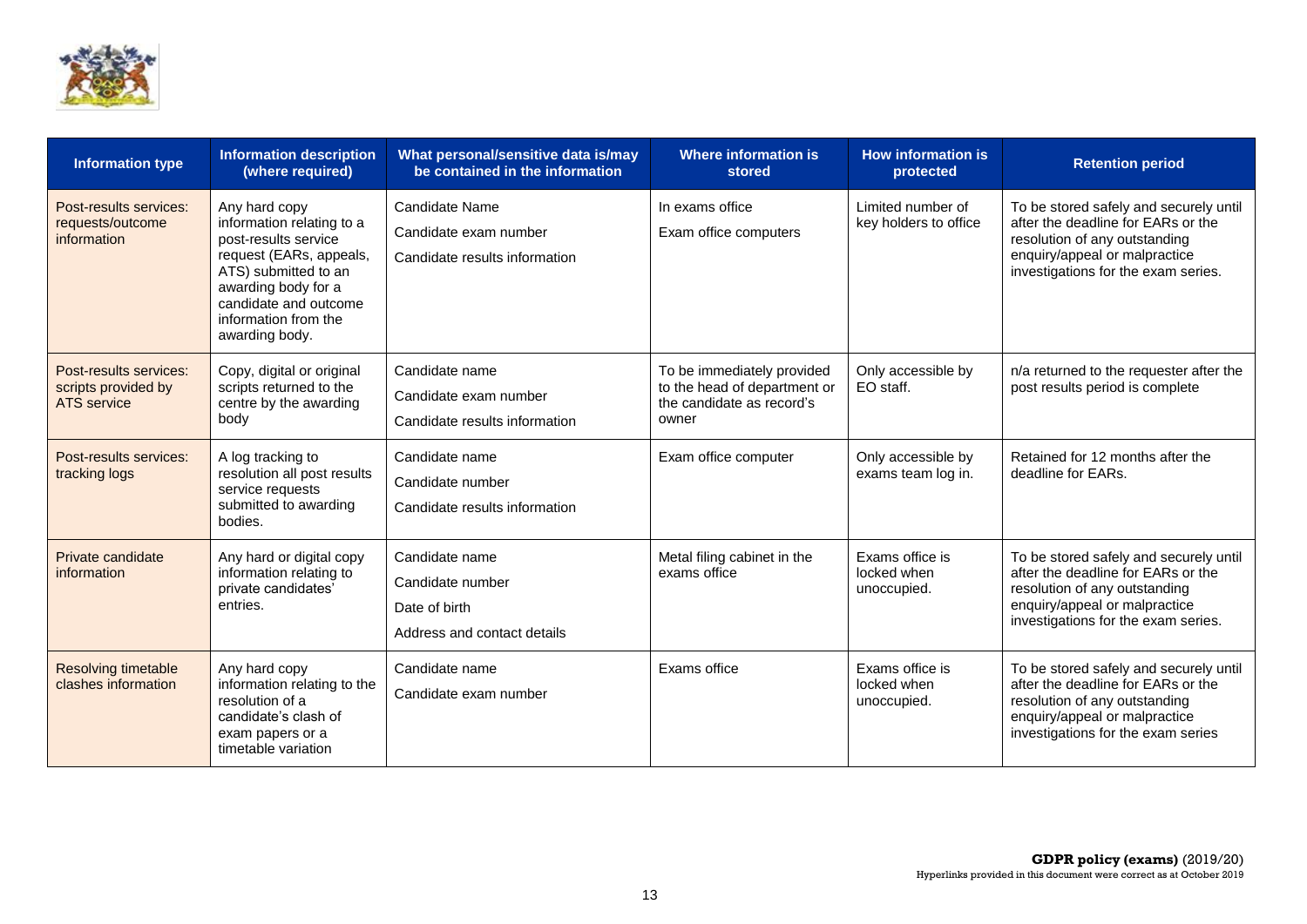

| <b>Information type</b>                                             | <b>Information description</b><br>(where required)                                                                                                                                                              | What personal/sensitive data is/may<br>be contained in the information             | <b>Where information is</b><br>stored                                                            | <b>How information is</b><br>protected        | <b>Retention period</b>                                                                                                                                                               |
|---------------------------------------------------------------------|-----------------------------------------------------------------------------------------------------------------------------------------------------------------------------------------------------------------|------------------------------------------------------------------------------------|--------------------------------------------------------------------------------------------------|-----------------------------------------------|---------------------------------------------------------------------------------------------------------------------------------------------------------------------------------------|
| Post-results services:<br>requests/outcome<br>information           | Any hard copy<br>information relating to a<br>post-results service<br>request (EARs, appeals,<br>ATS) submitted to an<br>awarding body for a<br>candidate and outcome<br>information from the<br>awarding body. | Candidate Name<br>Candidate exam number<br>Candidate results information           | In exams office<br>Exam office computers                                                         | Limited number of<br>key holders to office    | To be stored safely and securely until<br>after the deadline for EARs or the<br>resolution of any outstanding<br>enquiry/appeal or malpractice<br>investigations for the exam series. |
| Post-results services:<br>scripts provided by<br><b>ATS</b> service | Copy, digital or original<br>scripts returned to the<br>centre by the awarding<br>body                                                                                                                          | Candidate name<br>Candidate exam number<br>Candidate results information           | To be immediately provided<br>to the head of department or<br>the candidate as record's<br>owner | Only accessible by<br>EO staff.               | n/a returned to the requester after the<br>post results period is complete                                                                                                            |
| Post-results services:<br>tracking logs                             | A log tracking to<br>resolution all post results<br>service requests<br>submitted to awarding<br>bodies.                                                                                                        | Candidate name<br>Candidate number<br>Candidate results information                | Exam office computer                                                                             | Only accessible by<br>exams team log in.      | Retained for 12 months after the<br>deadline for EARs.                                                                                                                                |
| Private candidate<br>information                                    | Any hard or digital copy<br>information relating to<br>private candidates'<br>entries.                                                                                                                          | Candidate name<br>Candidate number<br>Date of birth<br>Address and contact details | Metal filing cabinet in the<br>exams office                                                      | Exams office is<br>locked when<br>unoccupied. | To be stored safely and securely until<br>after the deadline for EARs or the<br>resolution of any outstanding<br>enquiry/appeal or malpractice<br>investigations for the exam series. |
| <b>Resolving timetable</b><br>clashes information                   | Any hard copy<br>information relating to the<br>resolution of a<br>candidate's clash of<br>exam papers or a<br>timetable variation                                                                              | Candidate name<br>Candidate exam number                                            | Exams office                                                                                     | Exams office is<br>locked when<br>unoccupied. | To be stored safely and securely until<br>after the deadline for EARs or the<br>resolution of any outstanding<br>enquiry/appeal or malpractice<br>investigations for the exam series  |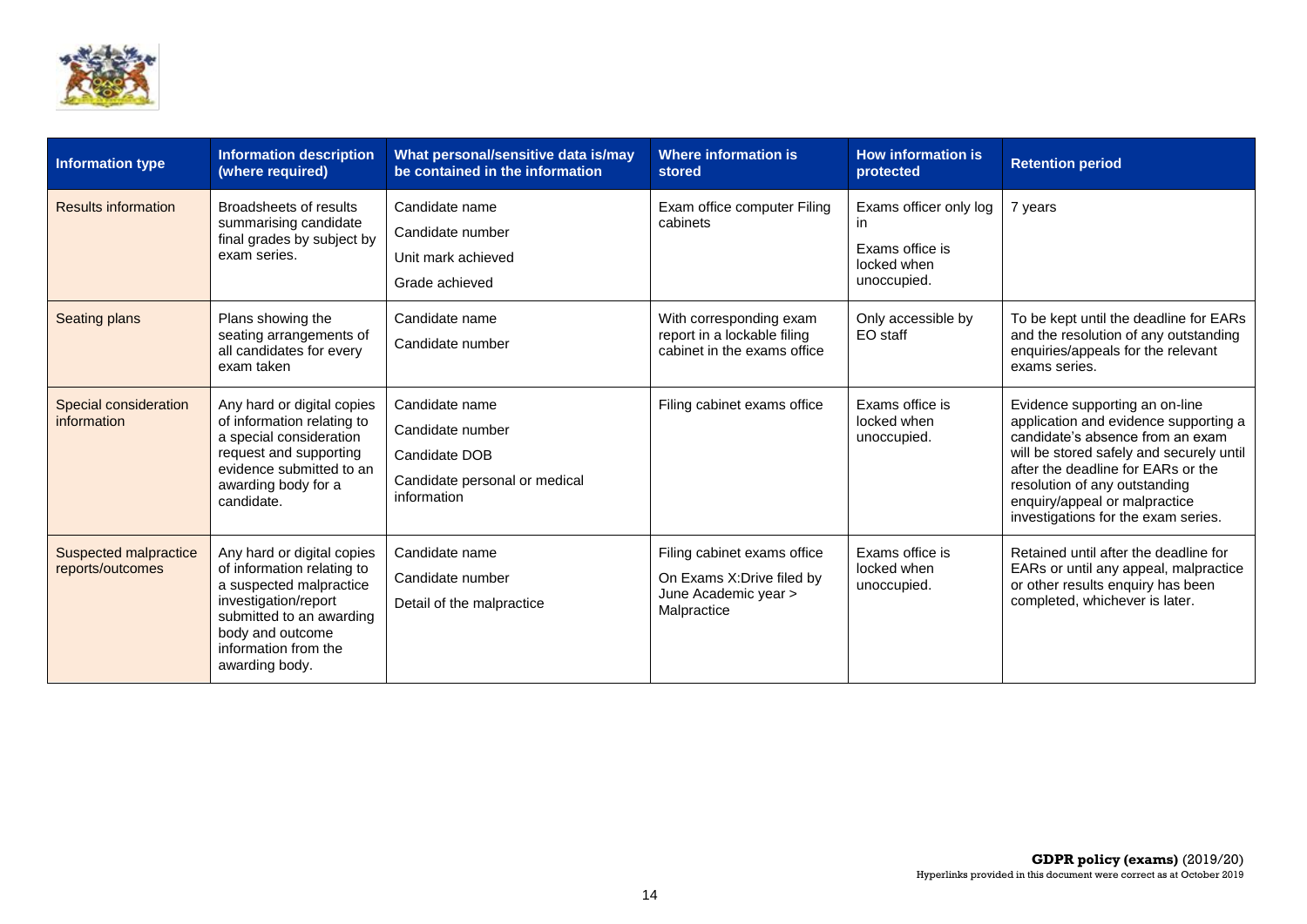

| <b>Information type</b>                   | <b>Information description</b><br>(where required)                                                                                                                                                    | What personal/sensitive data is/may<br>be contained in the information                              | <b>Where information is</b><br>stored                                                            | <b>How information is</b><br>protected                                         | <b>Retention period</b>                                                                                                                                                                                                                                                                                |
|-------------------------------------------|-------------------------------------------------------------------------------------------------------------------------------------------------------------------------------------------------------|-----------------------------------------------------------------------------------------------------|--------------------------------------------------------------------------------------------------|--------------------------------------------------------------------------------|--------------------------------------------------------------------------------------------------------------------------------------------------------------------------------------------------------------------------------------------------------------------------------------------------------|
| <b>Results information</b>                | Broadsheets of results<br>summarising candidate<br>final grades by subject by<br>exam series.                                                                                                         | Candidate name<br>Candidate number<br>Unit mark achieved<br>Grade achieved                          | Exam office computer Filing<br>cabinets                                                          | Exams officer only log<br>in.<br>Exams office is<br>locked when<br>unoccupied. | 7 years                                                                                                                                                                                                                                                                                                |
| Seating plans                             | Plans showing the<br>seating arrangements of<br>all candidates for every<br>exam taken                                                                                                                | Candidate name<br>Candidate number                                                                  | With corresponding exam<br>report in a lockable filing<br>cabinet in the exams office            | Only accessible by<br>EO staff                                                 | To be kept until the deadline for EARs<br>and the resolution of any outstanding<br>enquiries/appeals for the relevant<br>exams series.                                                                                                                                                                 |
| Special consideration<br>information      | Any hard or digital copies<br>of information relating to<br>a special consideration<br>request and supporting<br>evidence submitted to an<br>awarding body for a<br>candidate.                        | Candidate name<br>Candidate number<br>Candidate DOB<br>Candidate personal or medical<br>information | Filing cabinet exams office                                                                      | Exams office is<br>locked when<br>unoccupied.                                  | Evidence supporting an on-line<br>application and evidence supporting a<br>candidate's absence from an exam<br>will be stored safely and securely until<br>after the deadline for EARs or the<br>resolution of any outstanding<br>enquiry/appeal or malpractice<br>investigations for the exam series. |
| Suspected malpractice<br>reports/outcomes | Any hard or digital copies<br>of information relating to<br>a suspected malpractice<br>investigation/report<br>submitted to an awarding<br>body and outcome<br>information from the<br>awarding body. | Candidate name<br>Candidate number<br>Detail of the malpractice                                     | Filing cabinet exams office<br>On Exams X: Drive filed by<br>June Academic year ><br>Malpractice | Exams office is<br>locked when<br>unoccupied.                                  | Retained until after the deadline for<br>EARs or until any appeal, malpractice<br>or other results enquiry has been<br>completed, whichever is later.                                                                                                                                                  |